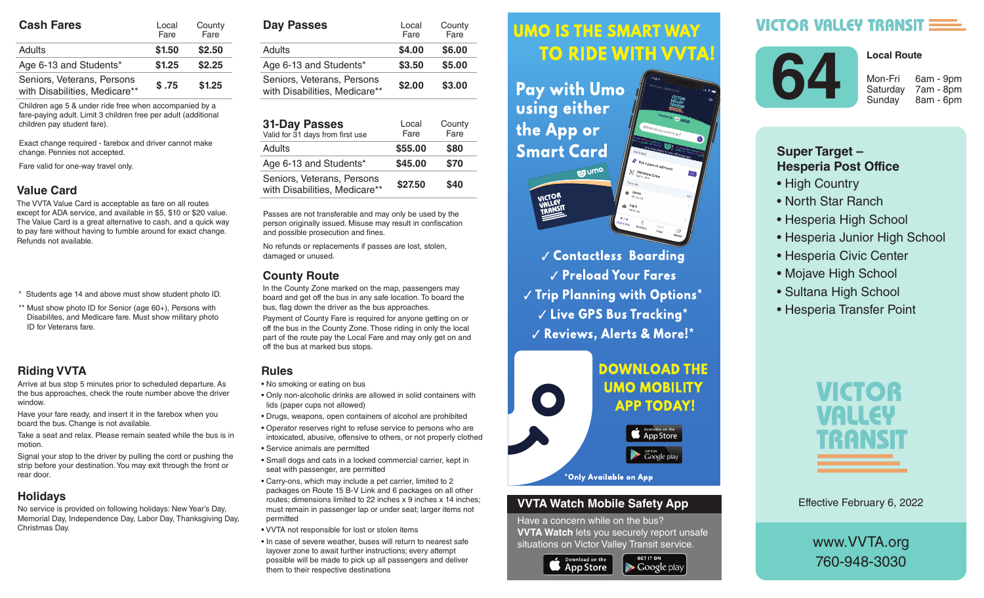| <b>Cash Fares</b>                                           | Local<br>Fare | County<br>Fare |  |
|-------------------------------------------------------------|---------------|----------------|--|
| Adults                                                      | \$1.50        | \$2.50         |  |
| Age 6-13 and Students*                                      | \$1.25        | \$2.25         |  |
| Seniors, Veterans, Persons<br>with Disabilities, Medicare** | \$.75         | \$1.25         |  |

Children age 5 & under ride free when accompanied by a fare-paying adult. Limit 3 children free per adult (additional children pay student fare).

Exact change required - farebox and driver cannot make change. Pennies not accepted.

Fare valid for one-way travel only.

## **Value Card**

The VVTA Value Card is acceptable as fare on all routes except for ADA service, and available in \$5, \$10 or \$20 value. The Value Card is a great alternative to cash, and a quick way to pay fare without having to fumble around for exact change. Refunds not available.

- \* Students age 14 and above must show student photo ID.
- \*\* Must show photo ID for Senior (age 60+), Persons with Disabilites, and Medicare fare. Must show military photo ID for Veterans fare.

## **Riding VVTA**

Arrive at bus stop 5 minutes prior to scheduled departure. As the bus approaches, check the route number above the driver window.

Have your fare ready, and insert it in the farebox when you board the bus. Change is not available.

Take a seat and relax. Please remain seated while the bus is in motion.

Signal your stop to the driver by pulling the cord or pushing the strip before your destination. You may exit through the front or rear door.

## **Holidays**

No service is provided on following holidays: New Year's Day, Memorial Day, Independence Day, Labor Day, Thanksgiving Day, Christmas Day.

| <b>Day Passes</b>                                           | Local<br>Fare | County<br>Fare |
|-------------------------------------------------------------|---------------|----------------|
| Adults                                                      | \$4.00        | \$6.00         |
| Age 6-13 and Students*                                      | \$3.50        | \$5.00         |
| Seniors, Veterans, Persons<br>with Disabilities, Medicare** | \$2.00        | \$3.00         |

| <b>31-Day Passes</b><br>Valid for 31 days from first use    | Local<br>Fare | County<br>Fare |
|-------------------------------------------------------------|---------------|----------------|
| Adults                                                      | \$55.00       | \$80           |
| Age 6-13 and Students*                                      | \$45.00       | \$70           |
| Seniors, Veterans, Persons<br>with Disabilities, Medicare** | \$27.50       | \$40           |

Passes are not transferable and may only be used by the person originally issued. Misuse may result in confiscation and possible prosecution and fines.

No refunds or replacements if passes are lost, stolen, damaged or unused.

## **County Route**

In the County Zone marked on the map, passengers may board and get off the bus in any safe location. To board the bus, flag down the driver as the bus approaches.

Payment of County Fare is required for anyone getting on or off the bus in the County Zone. Those riding in only the local part of the route pay the Local Fare and may only get on and off the bus at marked bus stops.

## **Rules**

- No smoking or eating on bus
- Only non-alcoholic drinks are allowed in solid containers with lids (paper cups not allowed)
- Drugs, weapons, open containers of alcohol are prohibited
- Operator reserves right to refuse service to persons who are intoxicated, abusive, offensive to others, or not properly clothed • Service animals are permitted
- Small dogs and cats in a locked commercial carrier, kept in seat with passenger, are permitted
- Carry-ons, which may include a pet carrier, limited to 2 packages on Route 15 B-V Link and 6 packages on all other routes; dimensions limited to 22 inches x 9 inches x 14 inches; must remain in passenger lap or under seat; larger items not permitted
- VVTA not responsible for lost or stolen items
- In case of severe weather, buses will return to nearest safe layover zone to await further instructions; every attempt possible will be made to pick up all passengers and deliver them to their respective destinations

#### **UMO IS THE SMART WAY** Arrive at bus stop 5 minutes prior to scheduled departure. As the bus approximation of the bus approximation of the bus approximation of the bus approximation route number above the driver window.

 $\mathbf{h}$  , and it is instructed in the farebox insert in the farebox  $\mathbf{h}$ **Fay with UMO AND SOLUTE:** Using either the bus is in motion.  $\mathbf{S}$  since the driver by pulling the driver by pulling the cord or  $\mathbf{S}$ pushing the strip of strip before your design of the strip of the strip of the strip of the strip of the strip of the strip of the strip of the strip of the strip of the strip of the strip of the strip of the strip of the



**Contactless Boarding**  $\sqrt{\frac{P_{\text{rel}}}{P_{\text{rad}}}}$  Preload Your Fares  $\parallel$   $\parallel$   $\parallel$  rip rignning with Uptions  $\parallel$  $\sim$   $\sim$   $\sim$   $\sim$  CPS Rus Tracking  $^{\star}$ are intoxicated, abusive, offensive to others, or not properly √ Reviews, Alerts & More!\*



### **VVTA Watch Mobile Safety App**

Have a concern while on the bus? **VVTA Watch** lets you securely report unsafe situations on Victor Valley Transit service.

**GET IT ON** 

 $\blacktriangleright$  Google play



# VICTOR VALLEY TRANSIT



Saturday 7am - 8pm

**Local Route**

Sunday 8am - 6pm

## **Super Target – Hesperia Post Office**

- High Country
- North Star Ranch
- Hesperia High School
- Hesperia Junior High School
- Hesperia Civic Center
- Mojave High School
- Sultana High School
- Hesperia Transfer Point



Effective February 6, 2022

www.VVTA.org 760-948-3030